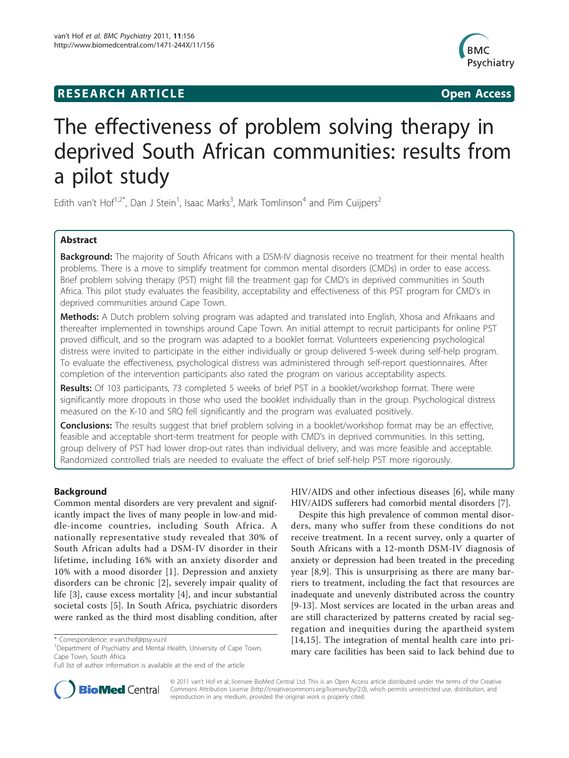# **RESEARCH ARTICLE Example 2018 12:00 Open Access**



# The effectiveness of problem solving therapy in deprived South African communities: results from a pilot study

Edith van't Hof<sup>1,2\*</sup>, Dan J Stein<sup>1</sup>, Isaac Marks<sup>3</sup>, Mark Tomlinson<sup>4</sup> and Pim Cuijpers<sup>2</sup>

# Abstract

**Background:** The majority of South Africans with a DSM-IV diagnosis receive no treatment for their mental health problems. There is a move to simplify treatment for common mental disorders (CMDs) in order to ease access. Brief problem solving therapy (PST) might fill the treatment gap for CMD's in deprived communities in South Africa. This pilot study evaluates the feasibility, acceptability and effectiveness of this PST program for CMD's in deprived communities around Cape Town.

Methods: A Dutch problem solving program was adapted and translated into English, Xhosa and Afrikaans and thereafter implemented in townships around Cape Town. An initial attempt to recruit participants for online PST proved difficult, and so the program was adapted to a booklet format. Volunteers experiencing psychological distress were invited to participate in the either individually or group delivered 5-week during self-help program. To evaluate the effectiveness, psychological distress was administered through self-report questionnaires. After completion of the intervention participants also rated the program on various acceptability aspects.

Results: Of 103 participants, 73 completed 5 weeks of brief PST in a booklet/workshop format. There were significantly more dropouts in those who used the booklet individually than in the group. Psychological distress measured on the K-10 and SRQ fell significantly and the program was evaluated positively.

**Conclusions:** The results suggest that brief problem solving in a booklet/workshop format may be an effective, feasible and acceptable short-term treatment for people with CMD's in deprived communities. In this setting, group delivery of PST had lower drop-out rates than individual delivery, and was more feasible and acceptable. Randomized controlled trials are needed to evaluate the effect of brief self-help PST more rigorously.

# Background

Common mental disorders are very prevalent and significantly impact the lives of many people in low-and middle-income countries, including South Africa. A nationally representative study revealed that 30% of South African adults had a DSM-IV disorder in their lifetime, including 16% with an anxiety disorder and 10% with a mood disorder [[1\]](#page-6-0). Depression and anxiety disorders can be chronic [[2\]](#page-6-0), severely impair quality of life [[3\]](#page-6-0), cause excess mortality [[4](#page-6-0)], and incur substantial societal costs [[5\]](#page-6-0). In South Africa, psychiatric disorders were ranked as the third most disabling condition, after



Despite this high prevalence of common mental disorders, many who suffer from these conditions do not receive treatment. In a recent survey, only a quarter of South Africans with a 12-month DSM-IV diagnosis of anxiety or depression had been treated in the preceding year [[8](#page-6-0),[9\]](#page-6-0). This is unsurprising as there are many barriers to treatment, including the fact that resources are inadequate and unevenly distributed across the country [[9-13](#page-6-0)]. Most services are located in the urban areas and are still characterized by patterns created by racial segregation and inequities during the apartheid system [[14,15](#page-6-0)]. The integration of mental health care into primary care facilities has been said to lack behind due to



© 2011 van't Hof et al; licensee BioMed Central Ltd. This is an Open Access article distributed under the terms of the Creative Commons Attribution License [\(http://creativecommons.org/licenses/by/2.0](http://creativecommons.org/licenses/by/2.0)), which permits unrestricted use, distribution, and reproduction in any medium, provided the original work is properly cited.

<sup>\*</sup> Correspondence: [e.van.thof@psy.vu.nl](mailto:e.van.thof@psy.vu.nl)

<sup>&</sup>lt;sup>1</sup>Department of Psychiatry and Mental Health, University of Cape Town, Cape Town, South Africa

Full list of author information is available at the end of the article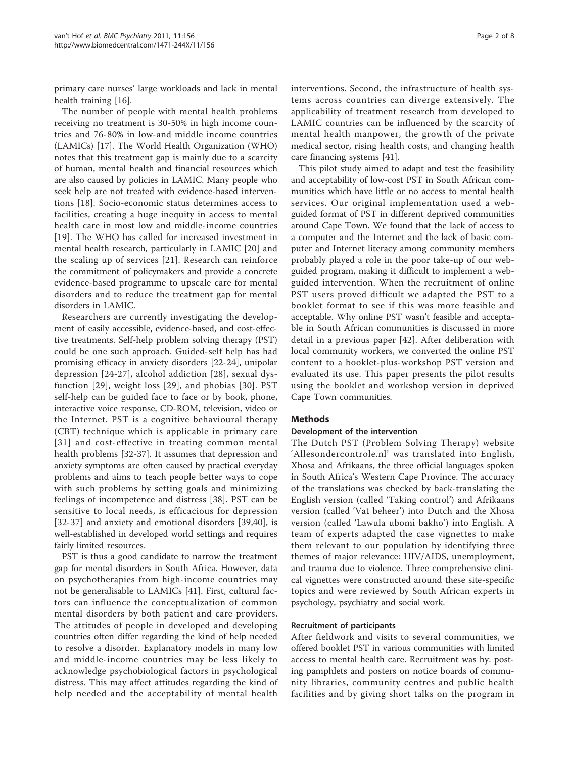primary care nurses' large workloads and lack in mental health training [\[16\]](#page-6-0).

The number of people with mental health problems receiving no treatment is 30-50% in high income countries and 76-80% in low-and middle income countries (LAMICs) [[17](#page-7-0)]. The World Health Organization (WHO) notes that this treatment gap is mainly due to a scarcity of human, mental health and financial resources which are also caused by policies in LAMIC. Many people who seek help are not treated with evidence-based interventions [\[18](#page-7-0)]. Socio-economic status determines access to facilities, creating a huge inequity in access to mental health care in most low and middle-income countries [[19](#page-7-0)]. The WHO has called for increased investment in mental health research, particularly in LAMIC [[20\]](#page-7-0) and the scaling up of services [[21](#page-7-0)]. Research can reinforce the commitment of policymakers and provide a concrete evidence-based programme to upscale care for mental disorders and to reduce the treatment gap for mental disorders in LAMIC.

Researchers are currently investigating the development of easily accessible, evidence-based, and cost-effective treatments. Self-help problem solving therapy (PST) could be one such approach. Guided-self help has had promising efficacy in anxiety disorders [[22-24](#page-7-0)], unipolar depression [[24](#page-7-0)-[27](#page-7-0)], alcohol addiction [[28\]](#page-7-0), sexual dysfunction [[29](#page-7-0)], weight loss [\[29\]](#page-7-0), and phobias [\[30\]](#page-7-0). PST self-help can be guided face to face or by book, phone, interactive voice response, CD-ROM, television, video or the Internet. PST is a cognitive behavioural therapy (CBT) technique which is applicable in primary care [[31](#page-7-0)] and cost-effective in treating common mental health problems [[32-37](#page-7-0)]. It assumes that depression and anxiety symptoms are often caused by practical everyday problems and aims to teach people better ways to cope with such problems by setting goals and minimizing feelings of incompetence and distress [[38\]](#page-7-0). PST can be sensitive to local needs, is efficacious for depression [[32](#page-7-0)-[37\]](#page-7-0) and anxiety and emotional disorders [[39,40](#page-7-0)], is well-established in developed world settings and requires fairly limited resources.

PST is thus a good candidate to narrow the treatment gap for mental disorders in South Africa. However, data on psychotherapies from high-income countries may not be generalisable to LAMICs [\[41\]](#page-7-0). First, cultural factors can influence the conceptualization of common mental disorders by both patient and care providers. The attitudes of people in developed and developing countries often differ regarding the kind of help needed to resolve a disorder. Explanatory models in many low and middle-income countries may be less likely to acknowledge psychobiological factors in psychological distress. This may affect attitudes regarding the kind of help needed and the acceptability of mental health interventions. Second, the infrastructure of health systems across countries can diverge extensively. The applicability of treatment research from developed to LAMIC countries can be influenced by the scarcity of mental health manpower, the growth of the private medical sector, rising health costs, and changing health care financing systems [\[41](#page-7-0)].

This pilot study aimed to adapt and test the feasibility and acceptability of low-cost PST in South African communities which have little or no access to mental health services. Our original implementation used a webguided format of PST in different deprived communities around Cape Town. We found that the lack of access to a computer and the Internet and the lack of basic computer and Internet literacy among community members probably played a role in the poor take-up of our webguided program, making it difficult to implement a webguided intervention. When the recruitment of online PST users proved difficult we adapted the PST to a booklet format to see if this was more feasible and acceptable. Why online PST wasn't feasible and acceptable in South African communities is discussed in more detail in a previous paper [\[42\]](#page-7-0). After deliberation with local community workers, we converted the online PST content to a booklet-plus-workshop PST version and evaluated its use. This paper presents the pilot results using the booklet and workshop version in deprived Cape Town communities.

# Methods

# Development of the intervention

The Dutch PST (Problem Solving Therapy) website 'Allesondercontrole.nl' was translated into English, Xhosa and Afrikaans, the three official languages spoken in South Africa's Western Cape Province. The accuracy of the translations was checked by back-translating the English version (called 'Taking control') and Afrikaans version (called 'Vat beheer') into Dutch and the Xhosa version (called 'Lawula ubomi bakho') into English. A team of experts adapted the case vignettes to make them relevant to our population by identifying three themes of major relevance: HIV/AIDS, unemployment, and trauma due to violence. Three comprehensive clinical vignettes were constructed around these site-specific topics and were reviewed by South African experts in psychology, psychiatry and social work.

#### Recruitment of participants

After fieldwork and visits to several communities, we offered booklet PST in various communities with limited access to mental health care. Recruitment was by: posting pamphlets and posters on notice boards of community libraries, community centres and public health facilities and by giving short talks on the program in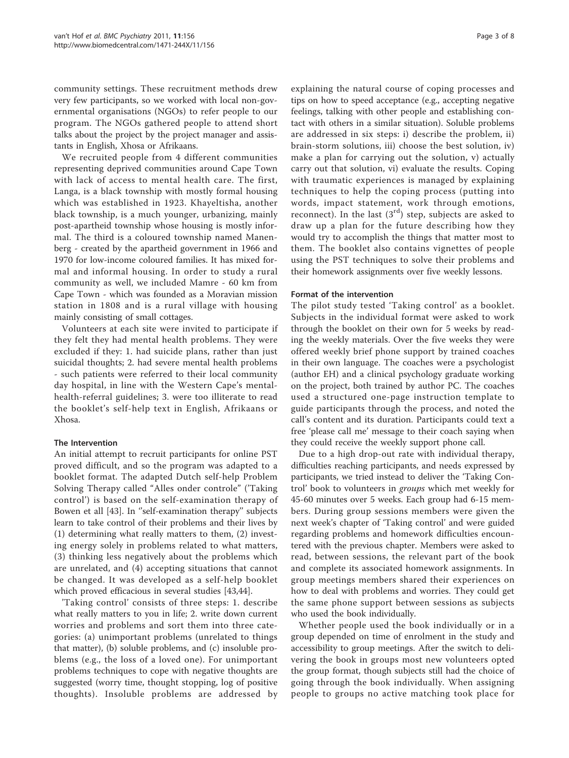community settings. These recruitment methods drew very few participants, so we worked with local non-governmental organisations (NGOs) to refer people to our program. The NGOs gathered people to attend short talks about the project by the project manager and assistants in English, Xhosa or Afrikaans.

We recruited people from 4 different communities representing deprived communities around Cape Town with lack of access to mental health care. The first, Langa, is a black township with mostly formal housing which was established in 1923. Khayeltisha, another black township, is a much younger, urbanizing, mainly post-apartheid township whose housing is mostly informal. The third is a coloured township named Manenberg - created by the apartheid government in 1966 and 1970 for low-income coloured families. It has mixed formal and informal housing. In order to study a rural community as well, we included Mamre - 60 km from Cape Town - which was founded as a Moravian mission station in 1808 and is a rural village with housing mainly consisting of small cottages.

Volunteers at each site were invited to participate if they felt they had mental health problems. They were excluded if they: 1. had suicide plans, rather than just suicidal thoughts; 2. had severe mental health problems - such patients were referred to their local community day hospital, in line with the Western Cape's mentalhealth-referral guidelines; 3. were too illiterate to read the booklet's self-help text in English, Afrikaans or Xhosa.

# The Intervention

An initial attempt to recruit participants for online PST proved difficult, and so the program was adapted to a booklet format. The adapted Dutch self-help Problem Solving Therapy called "Alles onder controle" ('Taking control') is based on the self-examination therapy of Bowen et all [[43](#page-7-0)]. In ''self-examination therapy'' subjects learn to take control of their problems and their lives by (1) determining what really matters to them, (2) investing energy solely in problems related to what matters, (3) thinking less negatively about the problems which are unrelated, and (4) accepting situations that cannot be changed. It was developed as a self-help booklet which proved efficacious in several studies [[43](#page-7-0),[44](#page-7-0)].

'Taking control' consists of three steps: 1. describe what really matters to you in life; 2. write down current worries and problems and sort them into three categories: (a) unimportant problems (unrelated to things that matter), (b) soluble problems, and (c) insoluble problems (e.g., the loss of a loved one). For unimportant problems techniques to cope with negative thoughts are suggested (worry time, thought stopping, log of positive thoughts). Insoluble problems are addressed by

explaining the natural course of coping processes and tips on how to speed acceptance (e.g., accepting negative feelings, talking with other people and establishing contact with others in a similar situation). Soluble problems are addressed in six steps: i) describe the problem, ii) brain-storm solutions, iii) choose the best solution, iv) make a plan for carrying out the solution, v) actually carry out that solution, vi) evaluate the results. Coping with traumatic experiences is managed by explaining techniques to help the coping process (putting into words, impact statement, work through emotions, reconnect). In the last  $(3<sup>rd</sup>)$  step, subjects are asked to draw up a plan for the future describing how they would try to accomplish the things that matter most to them. The booklet also contains vignettes of people using the PST techniques to solve their problems and their homework assignments over five weekly lessons.

#### Format of the intervention

The pilot study tested 'Taking control' as a booklet. Subjects in the individual format were asked to work through the booklet on their own for 5 weeks by reading the weekly materials. Over the five weeks they were offered weekly brief phone support by trained coaches in their own language. The coaches were a psychologist (author EH) and a clinical psychology graduate working on the project, both trained by author PC. The coaches used a structured one-page instruction template to guide participants through the process, and noted the call's content and its duration. Participants could text a free 'please call me' message to their coach saying when they could receive the weekly support phone call.

Due to a high drop-out rate with individual therapy, difficulties reaching participants, and needs expressed by participants, we tried instead to deliver the 'Taking Control' book to volunteers in groups which met weekly for 45-60 minutes over 5 weeks. Each group had 6-15 members. During group sessions members were given the next week's chapter of 'Taking control' and were guided regarding problems and homework difficulties encountered with the previous chapter. Members were asked to read, between sessions, the relevant part of the book and complete its associated homework assignments. In group meetings members shared their experiences on how to deal with problems and worries. They could get the same phone support between sessions as subjects who used the book individually.

Whether people used the book individually or in a group depended on time of enrolment in the study and accessibility to group meetings. After the switch to delivering the book in groups most new volunteers opted the group format, though subjects still had the choice of going through the book individually. When assigning people to groups no active matching took place for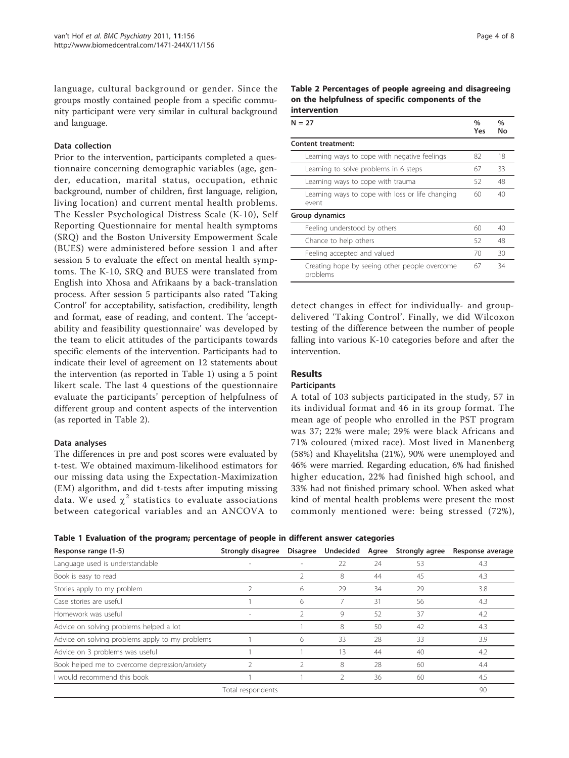<span id="page-3-0"></span>language, cultural background or gender. Since the groups mostly contained people from a specific community participant were very similar in cultural background and language.

#### Data collection

Prior to the intervention, participants completed a questionnaire concerning demographic variables (age, gender, education, marital status, occupation, ethnic background, number of children, first language, religion, living location) and current mental health problems. The Kessler Psychological Distress Scale (K-10), Self Reporting Questionnaire for mental health symptoms (SRQ) and the Boston University Empowerment Scale (BUES) were administered before session 1 and after session 5 to evaluate the effect on mental health symptoms. The K-10, SRQ and BUES were translated from English into Xhosa and Afrikaans by a back-translation process. After session 5 participants also rated 'Taking Control' for acceptability, satisfaction, credibility, length and format, ease of reading, and content. The 'acceptability and feasibility questionnaire' was developed by the team to elicit attitudes of the participants towards specific elements of the intervention. Participants had to indicate their level of agreement on 12 statements about the intervention (as reported in Table 1) using a 5 point likert scale. The last 4 questions of the questionnaire evaluate the participants' perception of helpfulness of different group and content aspects of the intervention (as reported in Table 2).

# Data analyses

The differences in pre and post scores were evaluated by t-test. We obtained maximum-likelihood estimators for our missing data using the Expectation-Maximization (EM) algorithm, and did t-tests after imputing missing data. We used  $\chi^2$  statistics to evaluate associations between categorical variables and an ANCOVA to

| Table 2 Percentages of people agreeing and disagreeing |
|--------------------------------------------------------|
| on the helpfulness of specific components of the       |
| intervention                                           |

| $N = 27$                                                  | $\%$<br>Yes | $\frac{0}{0}$<br>No |
|-----------------------------------------------------------|-------------|---------------------|
| <b>Content treatment:</b>                                 |             |                     |
| Learning ways to cope with negative feelings              | 82          | 18                  |
| Learning to solve problems in 6 steps                     | 67          | 33                  |
| Learning ways to cope with trauma                         | 52          | 48                  |
| Learning ways to cope with loss or life changing<br>event | 60          | 40                  |
| Group dynamics                                            |             |                     |
| Feeling understood by others                              | 60          | 40                  |
| Chance to help others                                     | 52          | 48                  |
| Feeling accepted and valued                               | 70          | 30                  |
| Creating hope by seeing other people overcome<br>problems | 67          | 34                  |

detect changes in effect for individually- and groupdelivered 'Taking Control'. Finally, we did Wilcoxon testing of the difference between the number of people falling into various K-10 categories before and after the intervention.

# Results

#### **Participants**

A total of 103 subjects participated in the study, 57 in its individual format and 46 in its group format. The mean age of people who enrolled in the PST program was 37; 22% were male; 29% were black Africans and 71% coloured (mixed race). Most lived in Manenberg (58%) and Khayelitsha (21%), 90% were unemployed and 46% were married. Regarding education, 6% had finished higher education, 22% had finished high school, and 33% had not finished primary school. When asked what kind of mental health problems were present the most commonly mentioned were: being stressed (72%),

| Response range (1-5)                            | Strongly disagree        | <b>Disagree</b>          | <b>Undecided</b> | Agree | Strongly agree | Response average |
|-------------------------------------------------|--------------------------|--------------------------|------------------|-------|----------------|------------------|
| Language used is understandable                 | $\overline{\phantom{a}}$ | $\overline{\phantom{a}}$ | 22               | 24    | 53             | 4.3              |
| Book is easy to read                            |                          |                          | 8                | 44    | 45             | 4.3              |
| Stories apply to my problem                     |                          | 6                        | 29               | 34    | 29             | 3.8              |
| Case stories are useful                         |                          | 6                        |                  | 31    | 56             | 4.3              |
| Homework was useful                             |                          |                          | 9                | 52    | 37             | 4.2              |
| Advice on solving problems helped a lot         |                          |                          | 8                | 50    | 42             | 4.3              |
| Advice on solving problems apply to my problems |                          | 6                        | 33               | 28    | 33             | 3.9              |
| Advice on 3 problems was useful                 |                          |                          | 13               | 44    | 40             | 4.2              |
| Book helped me to overcome depression/anxiety   |                          |                          | 8                | 28    | 60             | 4.4              |
| I would recommend this book                     |                          |                          |                  | 36    | 60             | 4.5              |
|                                                 | Total respondents        |                          |                  |       |                | 90               |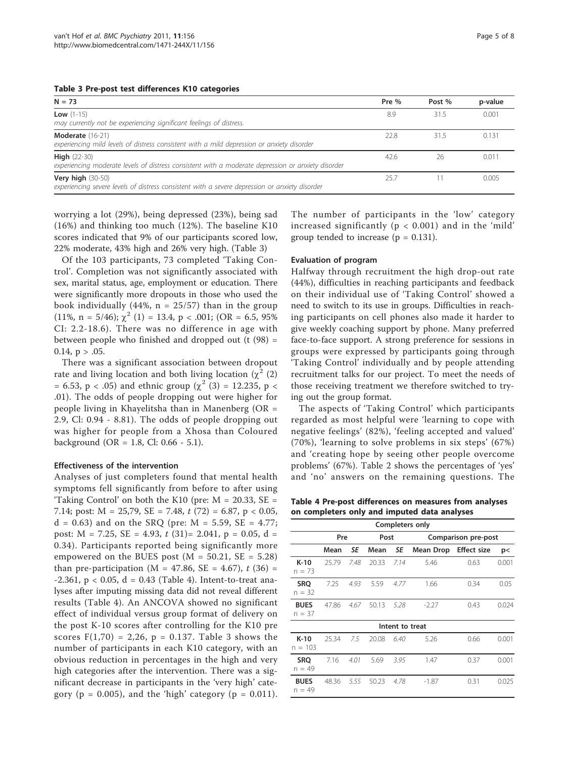Table 3 Pre-post test differences K10 categories

| $N = 73$                                                                                                                    | Pre % | Post % | p-value |
|-----------------------------------------------------------------------------------------------------------------------------|-------|--------|---------|
| <b>Low</b> $(1-15)$<br>may currently not be experiencing significant feelings of distress.                                  | 8.9   | 31.5   | 0.001   |
| Moderate $(16-21)$<br>experiencing mild levels of distress consistent with a mild depression or anxiety disorder            | 22.8  | 31.5   | 0.131   |
| <b>High</b> $(22-30)$<br>experiencing moderate levels of distress consistent with a moderate depression or anxiety disorder | 42.6  | 26     | 0.011   |
| Very high $(30-50)$<br>experiencing severe levels of distress consistent with a severe depression or anxiety disorder       | 257   |        | 0.005   |

worrying a lot (29%), being depressed (23%), being sad (16%) and thinking too much (12%). The baseline K10 scores indicated that 9% of our participants scored low, 22% moderate, 43% high and 26% very high. (Table 3)

Of the 103 participants, 73 completed 'Taking Control'. Completion was not significantly associated with sex, marital status, age, employment or education. There were significantly more dropouts in those who used the book individually (44%,  $n = 25/57$ ) than in the group (11%, n = 5/46);  $\chi^2$  (1) = 13.4, p < .001; (OR = 6.5, 95%) CI: 2.2-18.6). There was no difference in age with between people who finished and dropped out (t (98) = 0.14,  $p > .05$ .

There was a significant association between dropout rate and living location and both living location  $(\chi^2 \ (2))$ = 6.53, p < .05) and ethnic group ( $\chi^2$  (3) = 12.235, p < .01). The odds of people dropping out were higher for people living in Khayelitsha than in Manenberg (OR = 2.9, Cl: 0.94 - 8.81). The odds of people dropping out was higher for people from a Xhosa than Coloured background (OR = 1.8, Cl:  $0.66 - 5.1$ ).

#### Effectiveness of the intervention

Analyses of just completers found that mental health symptoms fell significantly from before to after using 'Taking Control' on both the K10 (pre:  $M = 20.33$ , SE = 7.14; post:  $M = 25,79$ ,  $SE = 7.48$ ,  $t(72) = 6.87$ ,  $p < 0.05$ ,  $d = 0.63$ ) and on the SRQ (pre: M = 5.59, SE = 4.77; post:  $M = 7.25$ ,  $SE = 4.93$ ,  $t(31)= 2.041$ ,  $p = 0.05$ ,  $d =$ 0.34). Participants reported being significantly more empowered on the BUES post  $(M = 50.21, SE = 5.28)$ than pre-participation (M = 47.86, SE = 4.67),  $t$  (36) =  $-2.361$ ,  $p < 0.05$ ,  $d = 0.43$  (Table 4). Intent-to-treat analyses after imputing missing data did not reveal different results (Table 4). An ANCOVA showed no significant effect of individual versus group format of delivery on the post K-10 scores after controlling for the K10 pre scores  $F(1,70) = 2,26$ ,  $p = 0.137$ . Table 3 shows the number of participants in each K10 category, with an obvious reduction in percentages in the high and very high categories after the intervention. There was a significant decrease in participants in the 'very high' category ( $p = 0.005$ ), and the 'high' category ( $p = 0.011$ ).

The number of participants in the 'low' category increased significantly ( $p < 0.001$ ) and in the 'mild' group tended to increase  $(p = 0.131)$ .

#### Evaluation of program

Halfway through recruitment the high drop-out rate (44%), difficulties in reaching participants and feedback on their individual use of 'Taking Control' showed a need to switch to its use in groups. Difficulties in reaching participants on cell phones also made it harder to give weekly coaching support by phone. Many preferred face-to-face support. A strong preference for sessions in groups were expressed by participants going through 'Taking Control' individually and by people attending recruitment talks for our project. To meet the needs of those receiving treatment we therefore switched to trying out the group format.

The aspects of 'Taking Control' which participants regarded as most helpful were 'learning to cope with negative feelings' (82%), 'feeling accepted and valued' (70%), 'learning to solve problems in six steps' (67%) and 'creating hope by seeing other people overcome problems' (67%). Table [2](#page-3-0) shows the percentages of 'yes' and 'no' answers on the remaining questions. The

Table 4 Pre-post differences on measures from analyses on completers only and imputed data analyses

| Completers only         |       |      |       |      |                            |                    |       |
|-------------------------|-------|------|-------|------|----------------------------|--------------------|-------|
|                         | Pre   |      | Post  |      | <b>Comparison pre-post</b> |                    |       |
|                         | Mean  | SE   | Mean  | SE   | Mean Drop                  | <b>Effect size</b> | p<    |
| $K-10$<br>$n = 73$      | 25.79 | 7.48 | 20.33 | 7.14 | 5.46                       | 0.63               | 0.001 |
| <b>SRO</b><br>$n = 32$  | 7.25  | 4.93 | 5.59  | 4.77 | 1.66                       | 0.34               | 0.05  |
| <b>BUES</b><br>$n = 37$ | 47.86 | 4.67 | 50.13 | 5.28 | $-2.27$                    | 0.43               | 0.024 |
| Intent to treat         |       |      |       |      |                            |                    |       |
| $K-10$<br>$n = 103$     | 25.34 | 7.5  | 20.08 | 6.40 | 5.26                       | 0.66               | 0.001 |
| <b>SRO</b><br>$n = 49$  | 7.16  | 4.01 | 5.69  | 3.95 | 1.47                       | 0.37               | 0.001 |
| <b>BUES</b><br>$n = 49$ | 48.36 | 5.55 | 50.23 | 4.78 | $-1.87$                    | 0.31               | 0.025 |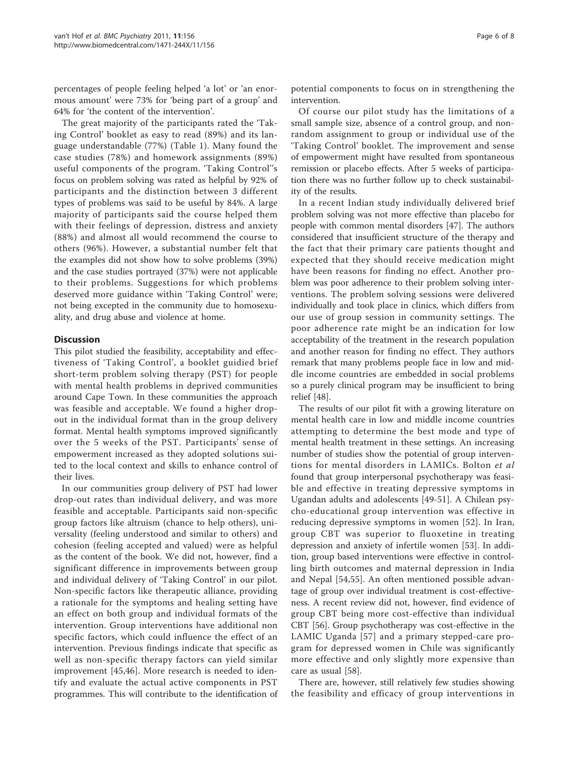percentages of people feeling helped 'a lot' or 'an enormous amount' were 73% for 'being part of a group' and 64% for 'the content of the intervention'.

The great majority of the participants rated the 'Taking Control' booklet as easy to read (89%) and its language understandable (77%) (Table [1\)](#page-3-0). Many found the case studies (78%) and homework assignments (89%) useful components of the program. 'Taking Control''s focus on problem solving was rated as helpful by 92% of participants and the distinction between 3 different types of problems was said to be useful by 84%. A large majority of participants said the course helped them with their feelings of depression, distress and anxiety (88%) and almost all would recommend the course to others (96%). However, a substantial number felt that the examples did not show how to solve problems (39%) and the case studies portrayed (37%) were not applicable to their problems. Suggestions for which problems deserved more guidance within 'Taking Control' were; not being excepted in the community due to homosexuality, and drug abuse and violence at home.

#### **Discussion**

This pilot studied the feasibility, acceptability and effectiveness of 'Taking Control', a booklet guidied brief short-term problem solving therapy (PST) for people with mental health problems in deprived communities around Cape Town. In these communities the approach was feasible and acceptable. We found a higher dropout in the individual format than in the group delivery format. Mental health symptoms improved significantly over the 5 weeks of the PST. Participants' sense of empowerment increased as they adopted solutions suited to the local context and skills to enhance control of their lives.

In our communities group delivery of PST had lower drop-out rates than individual delivery, and was more feasible and acceptable. Participants said non-specific group factors like altruism (chance to help others), universality (feeling understood and similar to others) and cohesion (feeling accepted and valued) were as helpful as the content of the book. We did not, however, find a significant difference in improvements between group and individual delivery of 'Taking Control' in our pilot. Non-specific factors like therapeutic alliance, providing a rationale for the symptoms and healing setting have an effect on both group and individual formats of the intervention. Group interventions have additional non specific factors, which could influence the effect of an intervention. Previous findings indicate that specific as well as non-specific therapy factors can yield similar improvement [[45,46](#page-7-0)]. More research is needed to identify and evaluate the actual active components in PST programmes. This will contribute to the identification of

potential components to focus on in strengthening the intervention.

Of course our pilot study has the limitations of a small sample size, absence of a control group, and nonrandom assignment to group or individual use of the 'Taking Control' booklet. The improvement and sense of empowerment might have resulted from spontaneous remission or placebo effects. After 5 weeks of participation there was no further follow up to check sustainability of the results.

In a recent Indian study individually delivered brief problem solving was not more effective than placebo for people with common mental disorders [\[47\]](#page-7-0). The authors considered that insufficient structure of the therapy and the fact that their primary care patients thought and expected that they should receive medication might have been reasons for finding no effect. Another problem was poor adherence to their problem solving interventions. The problem solving sessions were delivered individually and took place in clinics, which differs from our use of group session in community settings. The poor adherence rate might be an indication for low acceptability of the treatment in the research population and another reason for finding no effect. They authors remark that many problems people face in low and middle income countries are embedded in social problems so a purely clinical program may be insufficient to bring relief [\[48](#page-7-0)].

The results of our pilot fit with a growing literature on mental health care in low and middle income countries attempting to determine the best mode and type of mental health treatment in these settings. An increasing number of studies show the potential of group interventions for mental disorders in LAMICs. Bolton et al found that group interpersonal psychotherapy was feasible and effective in treating depressive symptoms in Ugandan adults and adolescents [[49](#page-7-0)-[51\]](#page-7-0). A Chilean psycho-educational group intervention was effective in reducing depressive symptoms in women [\[52\]](#page-7-0). In Iran, group CBT was superior to fluoxetine in treating depression and anxiety of infertile women [[53\]](#page-7-0). In addition, group based interventions were effective in controlling birth outcomes and maternal depression in India and Nepal [\[54](#page-7-0),[55\]](#page-7-0). An often mentioned possible advantage of group over individual treatment is cost-effectiveness. A recent review did not, however, find evidence of group CBT being more cost-effective than individual CBT [\[56\]](#page-7-0). Group psychotherapy was cost-effective in the LAMIC Uganda [\[57\]](#page-7-0) and a primary stepped-care program for depressed women in Chile was significantly more effective and only slightly more expensive than care as usual [[58\]](#page-7-0).

There are, however, still relatively few studies showing the feasibility and efficacy of group interventions in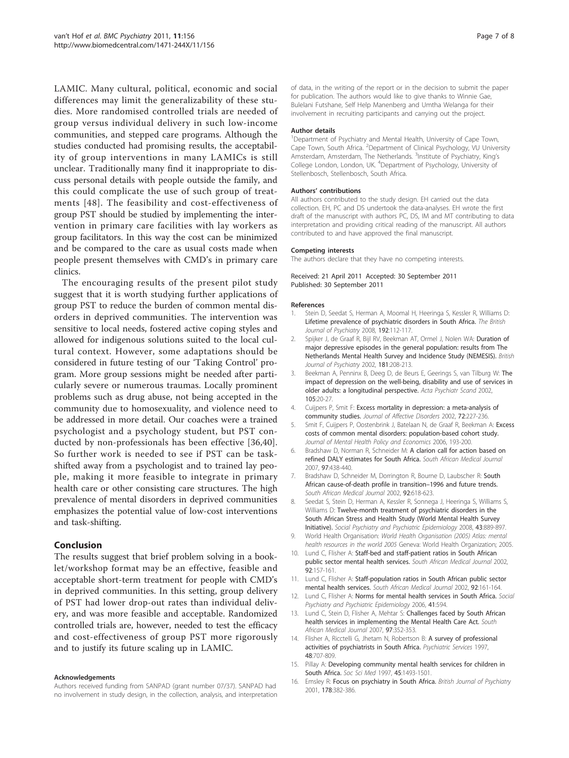<span id="page-6-0"></span>LAMIC. Many cultural, political, economic and social differences may limit the generalizability of these studies. More randomised controlled trials are needed of group versus individual delivery in such low-income communities, and stepped care programs. Although the studies conducted had promising results, the acceptability of group interventions in many LAMICs is still unclear. Traditionally many find it inappropriate to discuss personal details with people outside the family, and this could complicate the use of such group of treatments [[48\]](#page-7-0). The feasibility and cost-effectiveness of group PST should be studied by implementing the intervention in primary care facilities with lay workers as group facilitators. In this way the cost can be minimized and be compared to the care as usual costs made when people present themselves with CMD's in primary care clinics.

The encouraging results of the present pilot study suggest that it is worth studying further applications of group PST to reduce the burden of common mental disorders in deprived communities. The intervention was sensitive to local needs, fostered active coping styles and allowed for indigenous solutions suited to the local cultural context. However, some adaptations should be considered in future testing of our 'Taking Control' program. More group sessions might be needed after particularly severe or numerous traumas. Locally prominent problems such as drug abuse, not being accepted in the community due to homosexuality, and violence need to be addressed in more detail. Our coaches were a trained psychologist and a psychology student, but PST conducted by non-professionals has been effective [[36,40](#page-7-0)]. So further work is needed to see if PST can be taskshifted away from a psychologist and to trained lay people, making it more feasible to integrate in primary health care or other consisting care structures. The high prevalence of mental disorders in deprived communities emphasizes the potential value of low-cost interventions and task-shifting.

#### Conclusion

The results suggest that brief problem solving in a booklet/workshop format may be an effective, feasible and acceptable short-term treatment for people with CMD's in deprived communities. In this setting, group delivery of PST had lower drop-out rates than individual delivery, and was more feasible and acceptable. Randomized controlled trials are, however, needed to test the efficacy and cost-effectiveness of group PST more rigorously and to justify its future scaling up in LAMIC.

#### Acknowledgements

Authors received funding from SANPAD (grant number 07/37). SANPAD had no involvement in study design, in the collection, analysis, and interpretation of data, in the writing of the report or in the decision to submit the paper for publication. The authors would like to give thanks to Winnie Gae, Bulelani Futshane, Self Help Manenberg and Umtha Welanga for their involvement in recruiting participants and carrying out the project.

#### Author details

<sup>1</sup>Department of Psychiatry and Mental Health, University of Cape Town, Cape Town, South Africa. <sup>2</sup> Department of Clinical Psychology, VU University Amsterdam, Amsterdam, The Netherlands. <sup>3</sup>Institute of Psychiatry, King's College London, London, UK. <sup>4</sup> Department of Psychology, University of Stellenbosch, Stellenbosch, South Africa.

#### Authors' contributions

All authors contributed to the study design. EH carried out the data collection. EH, PC and DS undertook the data-analyses. EH wrote the first draft of the manuscript with authors PC, DS, IM and MT contributing to data interpretation and providing critical reading of the manuscript. All authors contributed to and have approved the final manuscript.

#### Competing interests

The authors declare that they have no competing interests.

Received: 21 April 2011 Accepted: 30 September 2011 Published: 30 September 2011

#### References

- 1. Stein D, Seedat S, Herman A, Moomal H, Heeringa S, Kessler R, Williams D: [Lifetime prevalence of psychiatric disorders in South Africa.](http://www.ncbi.nlm.nih.gov/pubmed/18245026?dopt=Abstract) The British Journal of Psychiatry 2008, 192:112-117.
- 2. Spijker J, de Graaf R, Bijl RV, Beekman AT, Ormel J, Nolen WA: [Duration of](http://www.ncbi.nlm.nih.gov/pubmed/12204924?dopt=Abstract) [major depressive episodes in the general population: results from The](http://www.ncbi.nlm.nih.gov/pubmed/12204924?dopt=Abstract) [Netherlands Mental Health Survey and Incidence Study \(NEMESIS\).](http://www.ncbi.nlm.nih.gov/pubmed/12204924?dopt=Abstract) British Journal of Psychiatry 2002, 181:208-213.
- 3. Beekman A, Penninx B, Deeg D, de Beurs E, Geerings S, van Tilburg W: [The](http://www.ncbi.nlm.nih.gov/pubmed/12086221?dopt=Abstract) [impact of depression on the well-being, disability and use of services in](http://www.ncbi.nlm.nih.gov/pubmed/12086221?dopt=Abstract) [older adults: a longitudinal perspective.](http://www.ncbi.nlm.nih.gov/pubmed/12086221?dopt=Abstract) Acta Psychiatr Scand 2002, 105:20-27.
- 4. Cuijpers P, Smit F: [Excess mortality in depression: a meta-analysis of](http://www.ncbi.nlm.nih.gov/pubmed/12450639?dopt=Abstract) [community studies.](http://www.ncbi.nlm.nih.gov/pubmed/12450639?dopt=Abstract) Journal of Affective Disorders 2002, 72:227-236.
- 5. Smit F, Cuijpers P, Oostenbrink J, Batelaan N, de Graaf R, Beekman A: Excess costs of common mental disorders: population-based cohort study. Journal of Mental Health Policy and Economics 2006, 193-200.
- 6. Bradshaw D, Norman R, Schneider M: [A clarion call for action based on](http://www.ncbi.nlm.nih.gov/pubmed/17691472?dopt=Abstract) [refined DALY estimates for South Africa.](http://www.ncbi.nlm.nih.gov/pubmed/17691472?dopt=Abstract) South African Medical Journal 2007, 97:438-440.
- 7. Bradshaw D, Schneider M, Dorrington R, Bourne D, Laubscher R: [South](http://www.ncbi.nlm.nih.gov/pubmed/12244621?dopt=Abstract) [African cause-of-death profile in transition](http://www.ncbi.nlm.nih.gov/pubmed/12244621?dopt=Abstract)–1996 and future trends. South African Medical Journal 2002, 92:618-623.
- 8. Seedat S, Stein D, Herman A, Kessler R, Sonnega J, Heeringa S, Williams S, Williams D: [Twelve-month treatment of psychiatric disorders in the](http://www.ncbi.nlm.nih.gov/pubmed/18677573?dopt=Abstract) [South African Stress and Health Study \(World Mental Health Survey](http://www.ncbi.nlm.nih.gov/pubmed/18677573?dopt=Abstract) [Initiative\).](http://www.ncbi.nlm.nih.gov/pubmed/18677573?dopt=Abstract) Social Psychiatry and Psychiatric Epidemiology 2008, 43:889-897.
- 9. World Health Organisation: World Health Organisation (2005) Atlas: mental health resources in the world 2005 Geneva: World Health Organization; 2005.
- 10. Lund C, Flisher A: [Staff-bed and staff-patient ratios in South African](http://www.ncbi.nlm.nih.gov/pubmed/11894654?dopt=Abstract) [public sector mental health services.](http://www.ncbi.nlm.nih.gov/pubmed/11894654?dopt=Abstract) South African Medical Journal 2002, 92:157-161.
- 11. Lund C, Flisher A: [Staff-population ratios in South African public sector](http://www.ncbi.nlm.nih.gov/pubmed/11894655?dopt=Abstract) [mental health services.](http://www.ncbi.nlm.nih.gov/pubmed/11894655?dopt=Abstract) South African Medical Journal 2002, 92:161-164.
- 12. Lund C, Flisher A: Norms for mental health services in South Africa. Social Psychiatry and Psychiatric Epidemiology 2006, 41:594.
- 13. Lund C, Stein D, Flisher A, Mehtar S: [Challenges faced by South African](http://www.ncbi.nlm.nih.gov/pubmed/17599216?dopt=Abstract) [health services in implementing the Mental Health Care Act.](http://www.ncbi.nlm.nih.gov/pubmed/17599216?dopt=Abstract) South African Medical Journal 2007, 97:352-353.
- 14. Flisher A, Ricctelli G, Jhetam N, Robertson B: [A survey of professional](http://www.ncbi.nlm.nih.gov/pubmed/9144829?dopt=Abstract) [activities of psychiatrists in South Africa.](http://www.ncbi.nlm.nih.gov/pubmed/9144829?dopt=Abstract) Psychiatric Services 1997, 48:707-809.
- 15. Pillay A: [Developing community mental health services for children in](http://www.ncbi.nlm.nih.gov/pubmed/9351139?dopt=Abstract) [South Africa.](http://www.ncbi.nlm.nih.gov/pubmed/9351139?dopt=Abstract) Soc Sci Med 1997, 45:1493-1501.
- 16. Emsley R: [Focus on psychiatry in South Africa.](http://www.ncbi.nlm.nih.gov/pubmed/11282826?dopt=Abstract) British Journal of Psychiatry 2001, 178:382-386.